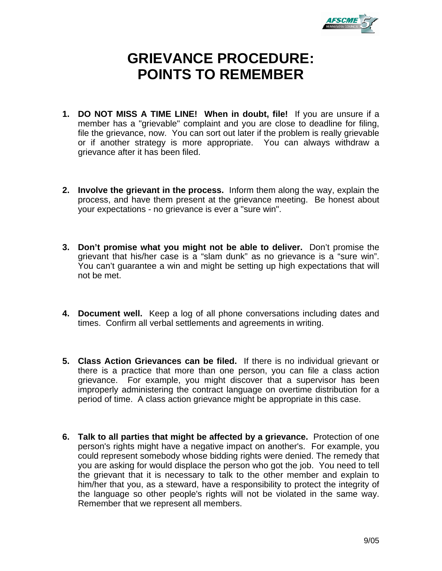

## **GRIEVANCE PROCEDURE: POINTS TO REMEMBER**

- **1. DO NOT MISS A TIME LINE! When in doubt, file!** If you are unsure if a member has a "grievable" complaint and you are close to deadline for filing, file the grievance, now. You can sort out later if the problem is really grievable or if another strategy is more appropriate. You can always withdraw a grievance after it has been filed.
- **2. Involve the grievant in the process.** Inform them along the way, explain the process, and have them present at the grievance meeting. Be honest about your expectations - no grievance is ever a "sure win".
- **3. Don't promise what you might not be able to deliver.** Don't promise the grievant that his/her case is a "slam dunk" as no grievance is a "sure win". You can't guarantee a win and might be setting up high expectations that will not be met.
- **4. Document well.** Keep a log of all phone conversations including dates and times. Confirm all verbal settlements and agreements in writing.
- **5. Class Action Grievances can be filed.** If there is no individual grievant or there is a practice that more than one person, you can file a class action grievance. For example, you might discover that a supervisor has been improperly administering the contract language on overtime distribution for a period of time. A class action grievance might be appropriate in this case.
- **6. Talk to all parties that might be affected by a grievance.** Protection of one person's rights might have a negative impact on another's. For example, you could represent somebody whose bidding rights were denied. The remedy that you are asking for would displace the person who got the job. You need to tell the grievant that it is necessary to talk to the other member and explain to him/her that you, as a steward, have a responsibility to protect the integrity of the language so other people's rights will not be violated in the same way. Remember that we represent all members.